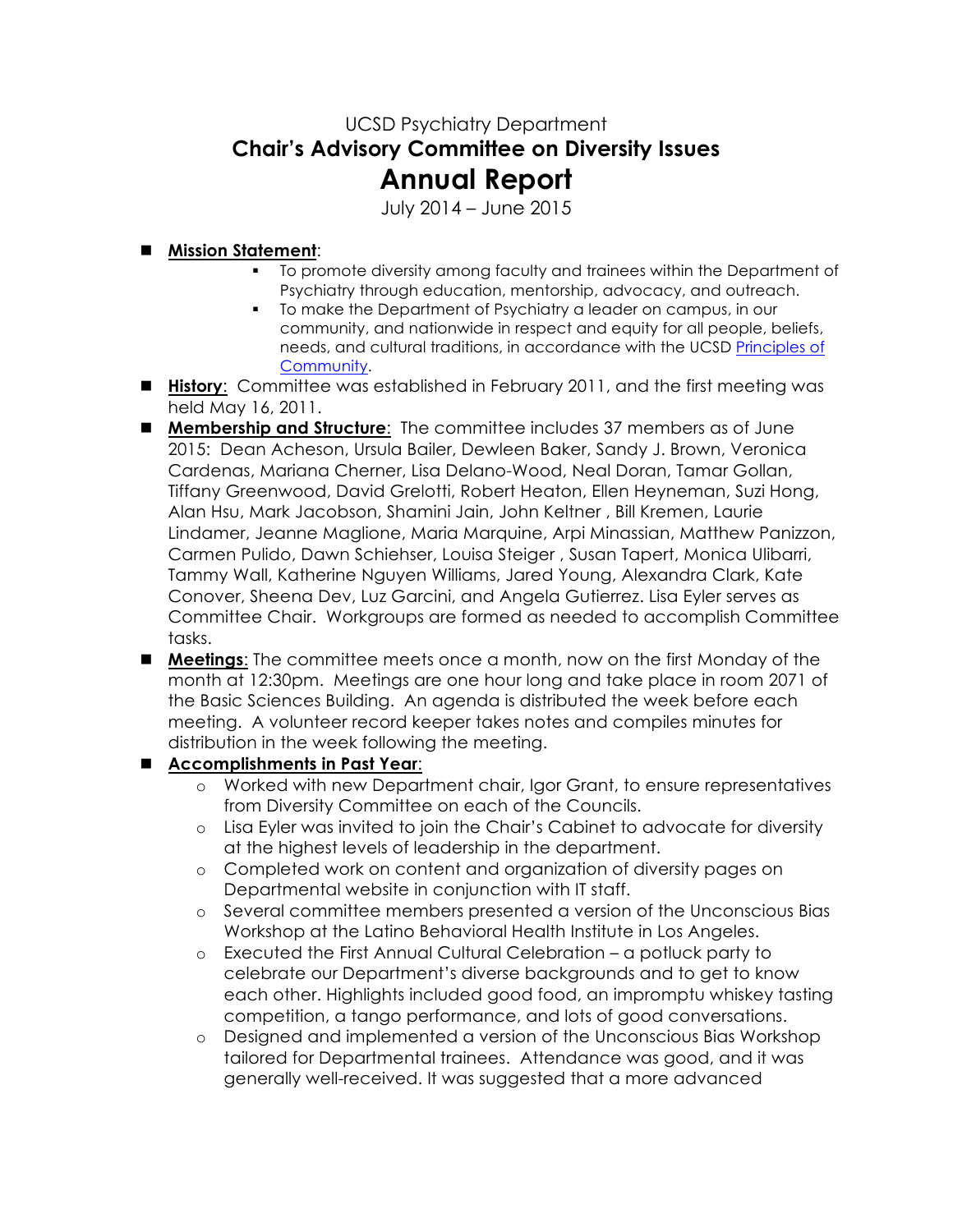## UCSD Psychiatry Department **Chair's Advisory Committee on Diversity Issues Annual Report**

July 2014 – June 2015

## n **Mission Statement**:

- § To promote diversity among faculty and trainees within the Department of Psychiatry through education, mentorship, advocacy, and outreach.
- § To make the Department of Psychiatry a leader on campus, in our community, and nationwide in respect and equity for all people, beliefs, needs, and cultural traditions, in accordance with the UCSD Principles of Community.
- **History:** Committee was established in February 2011, and the first meeting was held May 16, 2011.
- **n Membership and Structure**: The committee includes 37 members as of June 2015: Dean Acheson, Ursula Bailer, Dewleen Baker, Sandy J. Brown, Veronica Cardenas, Mariana Cherner, Lisa Delano-Wood, Neal Doran, Tamar Gollan, Tiffany Greenwood, David Grelotti, Robert Heaton, Ellen Heyneman, Suzi Hong, Alan Hsu, Mark Jacobson, Shamini Jain, John Keltner , Bill Kremen, Laurie Lindamer, Jeanne Maglione, Maria Marquine, Arpi Minassian, Matthew Panizzon, Carmen Pulido, Dawn Schiehser, Louisa Steiger , Susan Tapert, Monica Ulibarri, Tammy Wall, Katherine Nguyen Williams, Jared Young, Alexandra Clark, Kate Conover, Sheena Dev, Luz Garcini, and Angela Gutierrez. Lisa Eyler serves as Committee Chair. Workgroups are formed as needed to accomplish Committee tasks.
- **n Meetings:** The committee meets once a month, now on the first Monday of the month at 12:30pm. Meetings are one hour long and take place in room 2071 of the Basic Sciences Building. An agenda is distributed the week before each meeting. A volunteer record keeper takes notes and compiles minutes for distribution in the week following the meeting.

## n **Accomplishments in Past Year**:

- o Worked with new Department chair, Igor Grant, to ensure representatives from Diversity Committee on each of the Councils.
- o Lisa Eyler was invited to join the Chair's Cabinet to advocate for diversity at the highest levels of leadership in the department.
- o Completed work on content and organization of diversity pages on Departmental website in conjunction with IT staff.
- o Several committee members presented a version of the Unconscious Bias Workshop at the Latino Behavioral Health Institute in Los Angeles.
- o Executed the First Annual Cultural Celebration a potluck party to celebrate our Department's diverse backgrounds and to get to know each other. Highlights included good food, an impromptu whiskey tasting competition, a tango performance, and lots of good conversations.
- o Designed and implemented a version of the Unconscious Bias Workshop tailored for Departmental trainees. Attendance was good, and it was generally well-received. It was suggested that a more advanced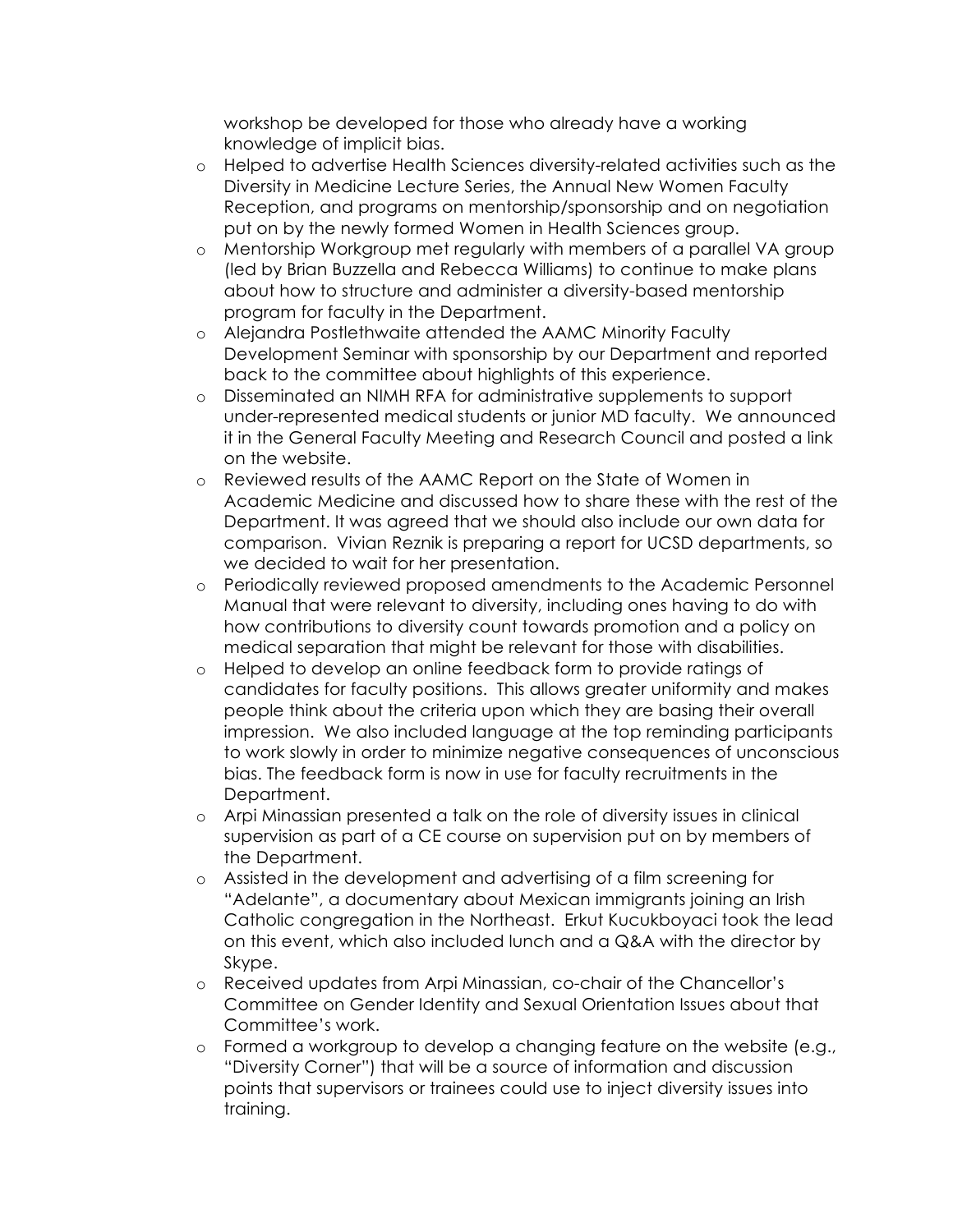workshop be developed for those who already have a working knowledge of implicit bias.

- o Helped to advertise Health Sciences diversity-related activities such as the Diversity in Medicine Lecture Series, the Annual New Women Faculty Reception, and programs on mentorship/sponsorship and on negotiation put on by the newly formed Women in Health Sciences group.
- o Mentorship Workgroup met regularly with members of a parallel VA group (led by Brian Buzzella and Rebecca Williams) to continue to make plans about how to structure and administer a diversity-based mentorship program for faculty in the Department.
- o Alejandra Postlethwaite attended the AAMC Minority Faculty Development Seminar with sponsorship by our Department and reported back to the committee about highlights of this experience.
- o Disseminated an NIMH RFA for administrative supplements to support under-represented medical students or junior MD faculty. We announced it in the General Faculty Meeting and Research Council and posted a link on the website.
- o Reviewed results of the AAMC Report on the State of Women in Academic Medicine and discussed how to share these with the rest of the Department. It was agreed that we should also include our own data for comparison. Vivian Reznik is preparing a report for UCSD departments, so we decided to wait for her presentation.
- o Periodically reviewed proposed amendments to the Academic Personnel Manual that were relevant to diversity, including ones having to do with how contributions to diversity count towards promotion and a policy on medical separation that might be relevant for those with disabilities.
- o Helped to develop an online feedback form to provide ratings of candidates for faculty positions. This allows greater uniformity and makes people think about the criteria upon which they are basing their overall impression. We also included language at the top reminding participants to work slowly in order to minimize negative consequences of unconscious bias. The feedback form is now in use for faculty recruitments in the Department.
- o Arpi Minassian presented a talk on the role of diversity issues in clinical supervision as part of a CE course on supervision put on by members of the Department.
- o Assisted in the development and advertising of a film screening for "Adelante", a documentary about Mexican immigrants joining an Irish Catholic congregation in the Northeast. Erkut Kucukboyaci took the lead on this event, which also included lunch and a Q&A with the director by Skype.
- o Received updates from Arpi Minassian, co-chair of the Chancellor's Committee on Gender Identity and Sexual Orientation Issues about that Committee's work.
- o Formed a workgroup to develop a changing feature on the website (e.g., "Diversity Corner") that will be a source of information and discussion points that supervisors or trainees could use to inject diversity issues into training.